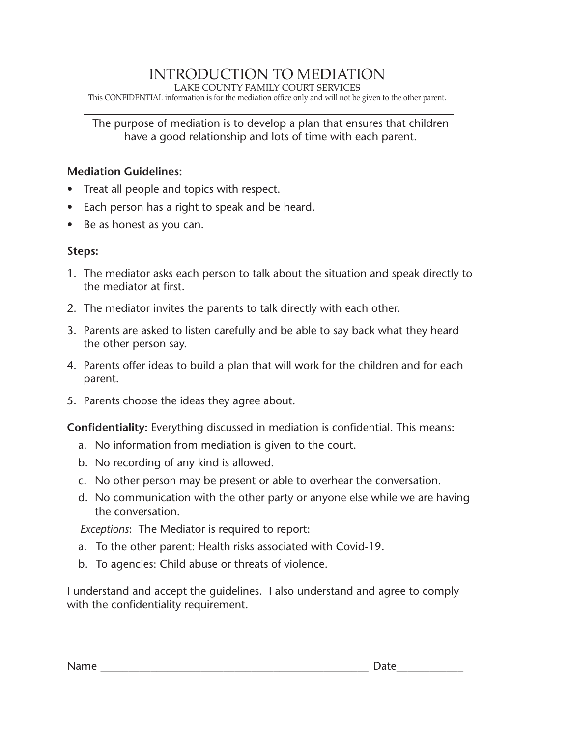# INTRODUCTION TO MEDIATION

LAKE COUNTY FAMILY COURT SERVICES

This CONFIDENTIAL information is for the mediation office only and will not be given to the other parent.

## The purpose of mediation is to develop a plan that ensures that children have a good relationship and lots of time with each parent.

#### **Mediation Guidelines:**

- Treat all people and topics with respect.
- Each person has a right to speak and be heard.
- Be as honest as you can.

## **Steps:**

- 1. The mediator asks each person to talk about the situation and speak directly to the mediator at first.
- 2. The mediator invites the parents to talk directly with each other.
- 3. Parents are asked to listen carefully and be able to say back what they heard the other person say.
- 4. Parents offer ideas to build a plan that will work for the children and for each parent.
- 5. Parents choose the ideas they agree about.

**Confidentiality:** Everything discussed in mediation is confidential. This means:

- a. No information from mediation is given to the court.
- b. No recording of any kind is allowed.
- c. No other person may be present or able to overhear the conversation.
- d. No communication with the other party or anyone else while we are having the conversation.

*Exceptions*: The Mediator is required to report:

- a. To the other parent: Health risks associated with Covid-19.
- b. To agencies: Child abuse or threats of violence.

I understand and accept the guidelines. I also understand and agree to comply with the confidentiality requirement.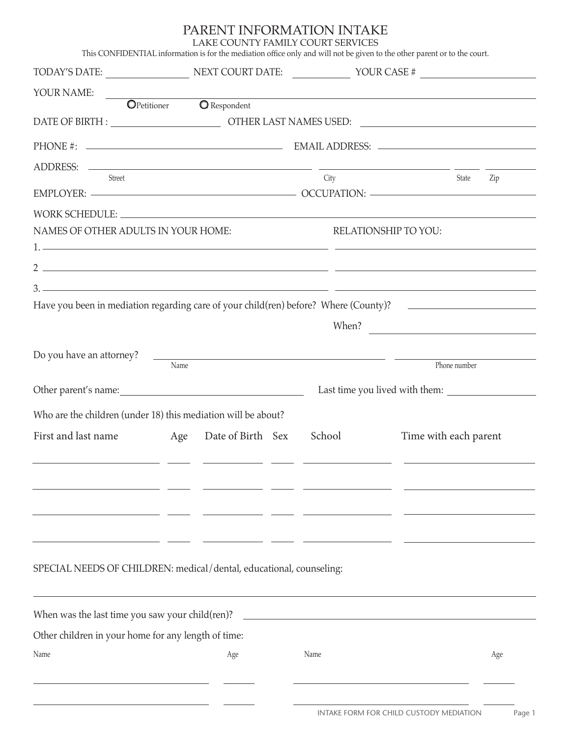# PARENT INFORMATION INTAKE

LAKE COUNTY FAMILY COURT SERVICES

This CONFIDENTIAL information is for the mediation office only and will not be given to the other parent or to the court.

| TODAY'S DATE: NEXT COURT DATE: YOUR CASE #                                                                     |                                 |                       |                                                                    |                      |                       |
|----------------------------------------------------------------------------------------------------------------|---------------------------------|-----------------------|--------------------------------------------------------------------|----------------------|-----------------------|
| YOUR NAME:                                                                                                     |                                 |                       |                                                                    |                      |                       |
|                                                                                                                | OPetitioner <b>O</b> Respondent |                       |                                                                    |                      |                       |
|                                                                                                                |                                 |                       |                                                                    |                      |                       |
|                                                                                                                |                                 |                       |                                                                    |                      |                       |
|                                                                                                                |                                 |                       |                                                                    |                      |                       |
| Street                                                                                                         |                                 |                       | City                                                               |                      | State<br>Zip          |
|                                                                                                                |                                 |                       |                                                                    |                      |                       |
| NAMES OF OTHER ADULTS IN YOUR HOME:                                                                            |                                 |                       |                                                                    | RELATIONSHIP TO YOU: |                       |
|                                                                                                                |                                 |                       |                                                                    |                      |                       |
|                                                                                                                |                                 |                       |                                                                    |                      |                       |
|                                                                                                                |                                 |                       |                                                                    |                      |                       |
| Have you been in mediation regarding care of your child(ren) before? Where (County)? _________________________ |                                 |                       |                                                                    |                      |                       |
|                                                                                                                |                                 |                       |                                                                    |                      | When?                 |
|                                                                                                                |                                 |                       |                                                                    |                      |                       |
| Do you have an attorney?                                                                                       | Name                            |                       | <u> 1990 - Jan Barbara Barbara, politikar politikar (h. 1980).</u> |                      | Phone number          |
|                                                                                                                |                                 |                       |                                                                    |                      |                       |
|                                                                                                                |                                 |                       |                                                                    |                      |                       |
| Who are the children (under 18) this mediation will be about?                                                  |                                 |                       |                                                                    |                      |                       |
| First and last name                                                                                            |                                 | Age Date of Birth Sex | School                                                             |                      | Time with each parent |
|                                                                                                                |                                 |                       |                                                                    |                      |                       |
|                                                                                                                |                                 |                       |                                                                    |                      |                       |
|                                                                                                                |                                 |                       |                                                                    |                      |                       |
|                                                                                                                |                                 |                       |                                                                    |                      |                       |
|                                                                                                                |                                 |                       |                                                                    |                      |                       |
|                                                                                                                |                                 |                       |                                                                    |                      |                       |
| SPECIAL NEEDS OF CHILDREN: medical/dental, educational, counseling:                                            |                                 |                       |                                                                    |                      |                       |
|                                                                                                                |                                 |                       |                                                                    |                      |                       |
| When was the last time you saw your child(ren)? _________________________________                              |                                 |                       |                                                                    |                      |                       |
| Other children in your home for any length of time:                                                            |                                 |                       |                                                                    |                      |                       |
| Name                                                                                                           |                                 | Age                   | Name                                                               |                      | Age                   |
|                                                                                                                |                                 |                       |                                                                    |                      |                       |
|                                                                                                                |                                 |                       |                                                                    |                      |                       |
|                                                                                                                |                                 |                       |                                                                    |                      |                       |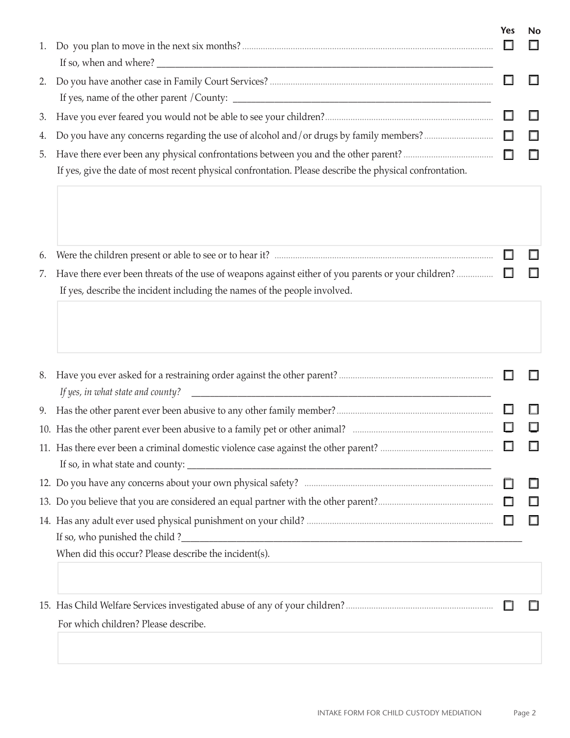| If so, when and where?                                                                                   | Yes | No |
|----------------------------------------------------------------------------------------------------------|-----|----|
|                                                                                                          |     |    |
|                                                                                                          |     |    |
|                                                                                                          |     |    |
| If yes, give the date of most recent physical confrontation. Please describe the physical confrontation. |     |    |

| If yes, describe the incident including the names of the people involved. |  |
|---------------------------------------------------------------------------|--|

| 8. |                                                       |        |  |
|----|-------------------------------------------------------|--------|--|
|    |                                                       |        |  |
| 9. |                                                       |        |  |
|    |                                                       |        |  |
|    |                                                       | $\Box$ |  |
|    |                                                       |        |  |
|    |                                                       |        |  |
|    |                                                       |        |  |
|    |                                                       |        |  |
|    |                                                       |        |  |
|    | When did this occur? Please describe the incident(s). |        |  |
|    |                                                       |        |  |
|    |                                                       |        |  |
|    | For which children? Please describe.                  |        |  |
|    |                                                       |        |  |